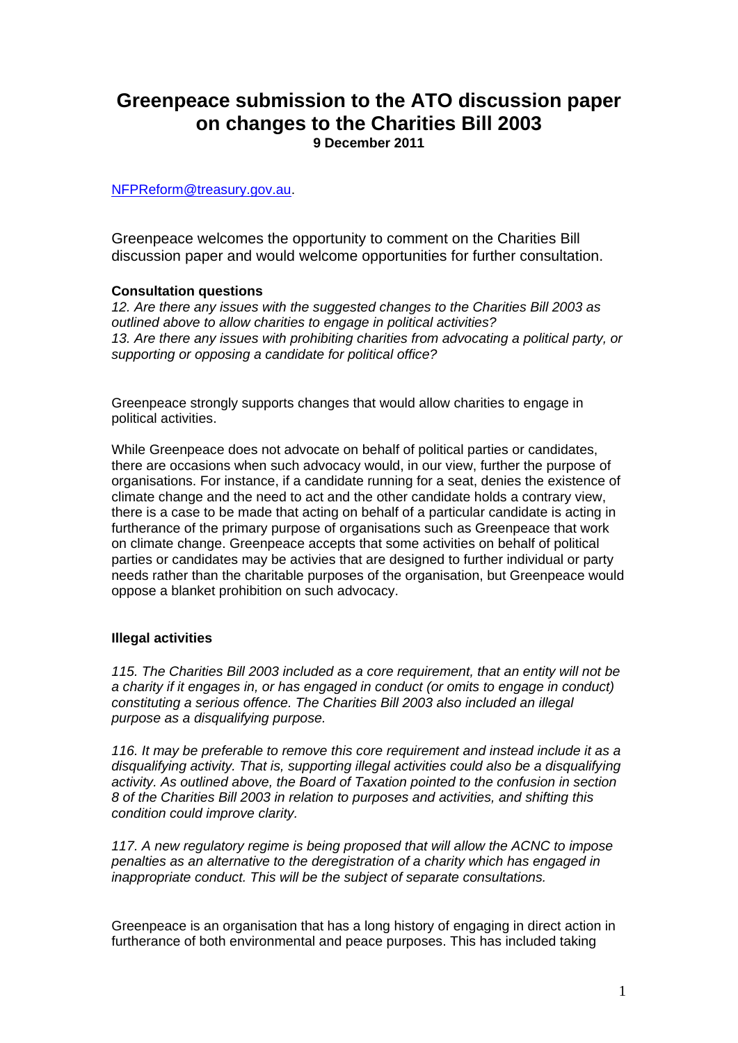## **Greenpeace submission to the ATO discussion paper on changes to the Charities Bill 2003 9 December 2011**

[NFPReform@treasury.gov.au.](mailto:NFPReform@treasury.gov.au)

Greenpeace welcomes the opportunity to comment on the Charities Bill discussion paper and would welcome opportunities for further consultation.

## **Consultation questions**

*12. Are there any issues with the suggested changes to the Charities Bill 2003 as outlined above to allow charities to engage in political activities? 13. Are there any issues with prohibiting charities from advocating a political party, or supporting or opposing a candidate for political office?*

Greenpeace strongly supports changes that would allow charities to engage in political activities.

While Greenpeace does not advocate on behalf of political parties or candidates, there are occasions when such advocacy would, in our view, further the purpose of organisations. For instance, if a candidate running for a seat, denies the existence of climate change and the need to act and the other candidate holds a contrary view, there is a case to be made that acting on behalf of a particular candidate is acting in furtherance of the primary purpose of organisations such as Greenpeace that work on climate change. Greenpeace accepts that some activities on behalf of political parties or candidates may be activies that are designed to further individual or party needs rather than the charitable purposes of the organisation, but Greenpeace would oppose a blanket prohibition on such advocacy.

## **Illegal activities**

*115. The Charities Bill 2003 included as a core requirement, that an entity will not be a charity if it engages in, or has engaged in conduct (or omits to engage in conduct) constituting a serious offence. The Charities Bill 2003 also included an illegal purpose as a disqualifying purpose.* 

*116. It may be preferable to remove this core requirement and instead include it as a disqualifying activity. That is, supporting illegal activities could also be a disqualifying activity. As outlined above, the Board of Taxation pointed to the confusion in section 8 of the Charities Bill 2003 in relation to purposes and activities, and shifting this condition could improve clarity.* 

*117. A new regulatory regime is being proposed that will allow the ACNC to impose penalties as an alternative to the deregistration of a charity which has engaged in inappropriate conduct. This will be the subject of separate consultations.* 

Greenpeace is an organisation that has a long history of engaging in direct action in furtherance of both environmental and peace purposes. This has included taking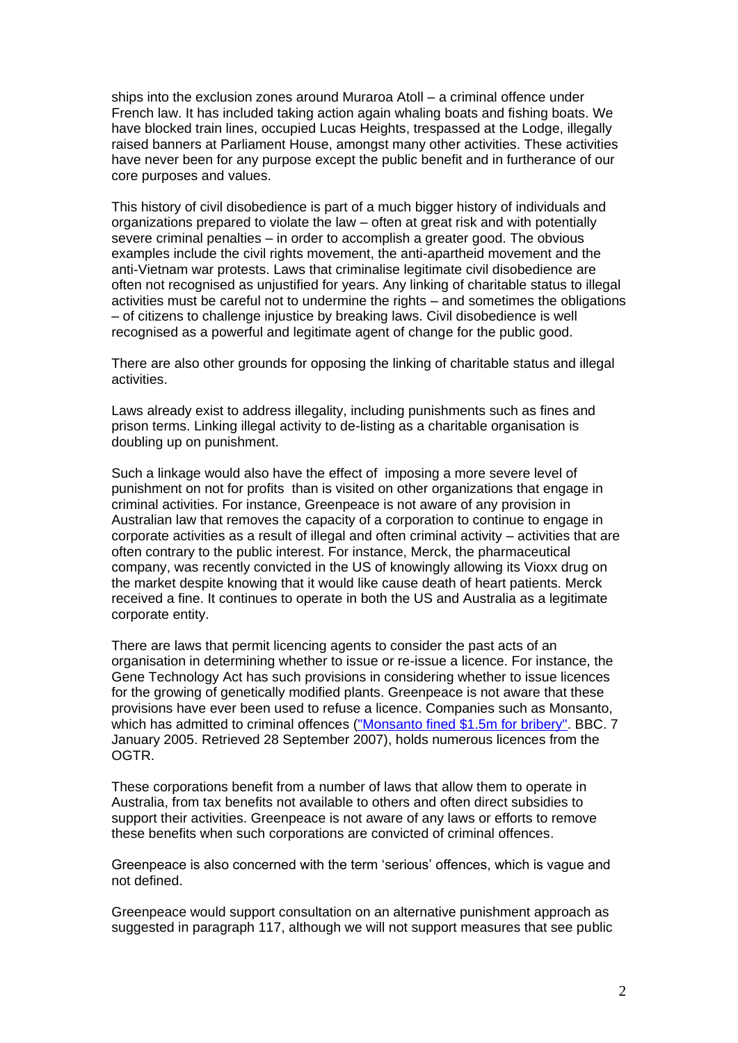ships into the exclusion zones around Muraroa Atoll – a criminal offence under French law. It has included taking action again whaling boats and fishing boats. We have blocked train lines, occupied Lucas Heights, trespassed at the Lodge, illegally raised banners at Parliament House, amongst many other activities. These activities have never been for any purpose except the public benefit and in furtherance of our core purposes and values.

This history of civil disobedience is part of a much bigger history of individuals and organizations prepared to violate the law – often at great risk and with potentially severe criminal penalties – in order to accomplish a greater good. The obvious examples include the civil rights movement, the anti-apartheid movement and the anti-Vietnam war protests. Laws that criminalise legitimate civil disobedience are often not recognised as unjustified for years. Any linking of charitable status to illegal activities must be careful not to undermine the rights – and sometimes the obligations – of citizens to challenge injustice by breaking laws. Civil disobedience is well recognised as a powerful and legitimate agent of change for the public good.

There are also other grounds for opposing the linking of charitable status and illegal activities.

Laws already exist to address illegality, including punishments such as fines and prison terms. Linking illegal activity to de-listing as a charitable organisation is doubling up on punishment.

Such a linkage would also have the effect of imposing a more severe level of punishment on not for profits than is visited on other organizations that engage in criminal activities. For instance, Greenpeace is not aware of any provision in Australian law that removes the capacity of a corporation to continue to engage in corporate activities as a result of illegal and often criminal activity – activities that are often contrary to the public interest. For instance, Merck, the pharmaceutical company, was recently convicted in the US of knowingly allowing its Vioxx drug on the market despite knowing that it would like cause death of heart patients. Merck received a fine. It continues to operate in both the US and Australia as a legitimate corporate entity.

There are laws that permit licencing agents to consider the past acts of an organisation in determining whether to issue or re-issue a licence. For instance, the Gene Technology Act has such provisions in considering whether to issue licences for the growing of genetically modified plants. Greenpeace is not aware that these provisions have ever been used to refuse a licence. Companies such as Monsanto, which has admitted to criminal offences [\("Monsanto fined \\$1.5m for bribery".](http://news.bbc.co.uk/2/hi/business/4153635.stm) BBC. 7 January 2005. Retrieved 28 September 2007), holds numerous licences from the **OGTR** 

These corporations benefit from a number of laws that allow them to operate in Australia, from tax benefits not available to others and often direct subsidies to support their activities. Greenpeace is not aware of any laws or efforts to remove these benefits when such corporations are convicted of criminal offences.

Greenpeace is also concerned with the term 'serious' offences, which is vague and not defined.

Greenpeace would support consultation on an alternative punishment approach as suggested in paragraph 117, although we will not support measures that see public